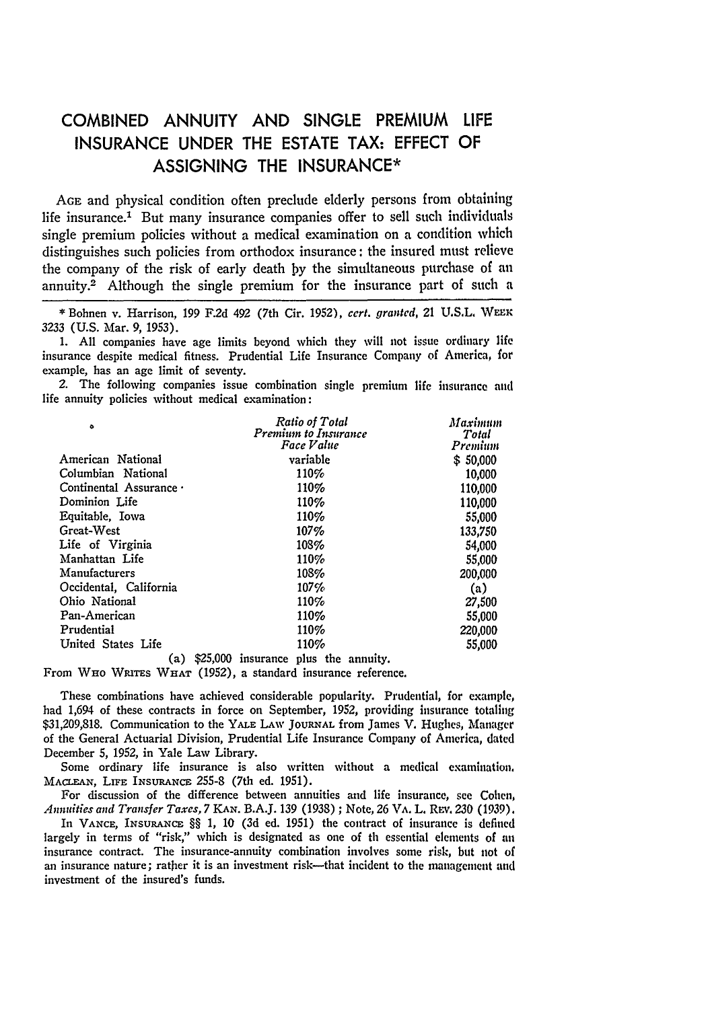## **COMBINED ANNUITY AND SINGLE** PREMIUM **LIFE INSURANCE UNDER** THE **ESTATE** TAX: **EFFECT** OF **ASSIGNING** THE **INSURANCE\***

**AGE** and physical condition often preclude elderly persons from obtaining life insurance.' But many insurance companies offer to sell such individuals single premium policies without a medical examination on a condition which distinguishes such policies from orthodox insurance: the insured must relieve the company of the risk of early death **by** the simultaneous purchase of an annuity.2 Although the single premium for the insurance part of such a

**1. All** companies have age limits beyond which they will not issue ordinary life insurance despite medical fitness. Prudential Life Insurance Company of America, for example, has an age limit of seventy.

*2.* The following companies issue combination single premium life insurance **and** life annuity policies without medical examination:

| ۰                       | Ratio of Total<br>Premium to Insurance<br>Face Value | Maximum<br>Total<br>Premium |
|-------------------------|------------------------------------------------------|-----------------------------|
| American National       | variable                                             | \$50,000                    |
| Columbian National      | 110%                                                 | 10,000                      |
| Continental Assurance · | 110%                                                 | 110,000                     |
| Dominion Life           | 110%                                                 | 110,000                     |
| Equitable, Iowa         | 110%                                                 | 55,000                      |
| Great-West              | 107%                                                 | 133.750                     |
| Life of Virginia        | 108%                                                 | 54,000                      |
| Manhattan Life          | 110%                                                 | 55,000                      |
| <b>Manufacturers</b>    | 108%                                                 | 200,000                     |
| Occidental, California  | $107\%$                                              | (a)                         |
| Ohio National           | 110%                                                 | 27,500                      |
| Pan-American            | 110%                                                 | 55,000                      |
| Prudential              | 110%                                                 | 220,000                     |
| United States Life      | 110%                                                 | 55,000                      |
| (a)                     | \$25,000 insurance plus the annuity.                 |                             |
|                         |                                                      |                             |

From WHO WRITES WHAT (1952), a standard insurance reference.

These combinations have achieved considerable popularity. Prudential, for example, had 1,694 of these contracts in force on September, **1952,** providing insurance totaling \$31,209,818. Communication to the YALE LAW JOURNAL from James V. Hughes, Manager of the General Actuarial Division, Prudential Life Insurance Company of America, dated December 5, 1952, in Yale Law Library.

Some ordinary life insurance is also written without a medical examination, MACLEAN, LIFE INSURANCE 255-8 (7th ed. 1951).

For discussion of the difference between annuities and life insurance, see Cohen, *Annuities and Transfer Taxes, 7 KAN.* B.A.J. 139 (1938) **;** Note, **26** VA. L. REv. **230** (1939).

In **VANCE, INSURANCE:** §§ 1, 10 (3d ed. 1951) the contract of insurance is defined largely in terms of "risk," which is designated as one of th essential elements of **an** insurance contract. The insurance-annuity combination involves some risk, but not of an insurance nature; rather it is an investment risk—that incident to the management and investment of the insured's funds.

**<sup>\*</sup>** Bohnen v. Harrison, **199 F.2d** 492 (7th Cir. **1952),** *cert. granted,* 21 **U.S.L.** WE R **3233 (U.S.** Mar. **9, 1953).**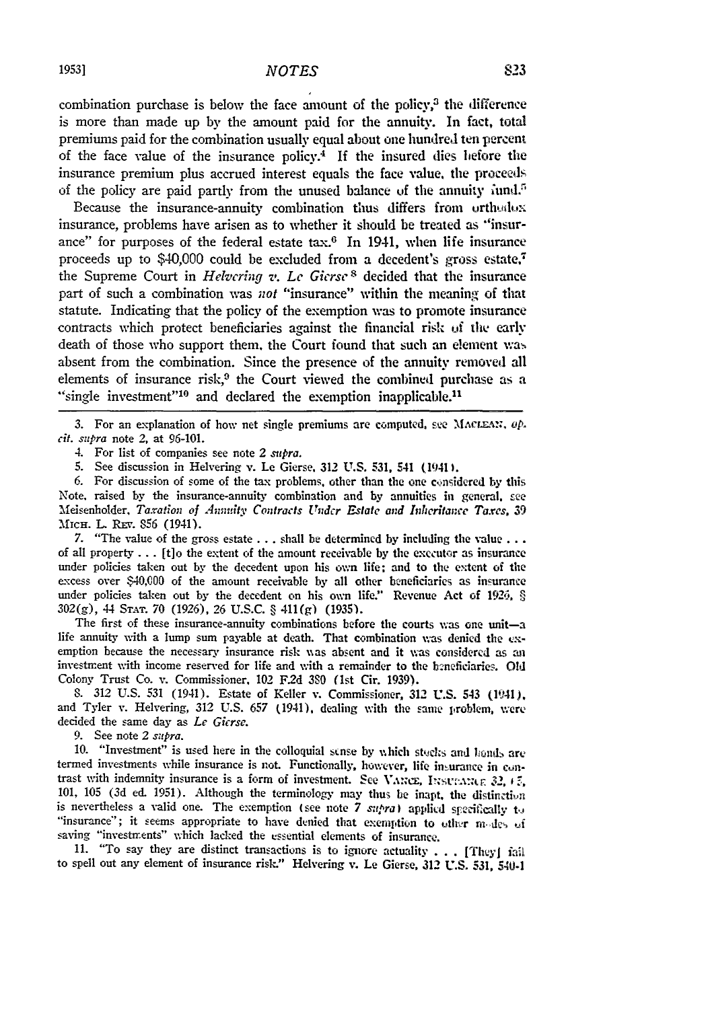combination purchase is below the face amount of the policy, $3$  the difference is more than made up by the amount paid for the annuity. In fact, total premiums paid for the combination usually equal about one hundred ten percent of the face value of the insurance policy.4 **If** the insured dies hefore the insurance premium plus accrued interest equals the face value, the proceeds of the policy are paid partly from the unused balance of the annuity fund.<sup>5</sup>

Because the insurance-annuity combination thus differs from orthodox insurance, problems have arisen as to whether it should be treated as "insurance" for purposes of the federal estate  $tax.^6$  In 1941, when life insurance proceeds up to  $$40,000$  could be excluded from a decedent's gross estate,<sup>7</sup> the Supreme Court in *Helvering v. Le Gicrse* s decided that the insurance part of such a combination was not "insurance" within the meaning of that statute. Indicating that the policy of the exemption was to promote insurance contracts which protect beneficiaries against the financial risk **of** the early death of those who support them, the Court found that such an element was absent from the combination. Since the presence of the annuity removed all elements of insurance risk, $3$  the Court viewed the combined purchase as a "single investment"<sup>10</sup> and declared the exemption inapplicable.<sup>11</sup>

3. For an explanation of how net single premiums are computed, see MACLEAN, op. *cit. supra* note 2, at 96-101.

4. For list of companies see note 2 *supra.*

5. See discussion in Helvering v. Le Gierse, **312** U.S. 531, 541 (1941).

6. For discussion of some of the tax problems, other than the one considered by this Note, raised by the insurance-annuity combination and by annuities in general, see Meisenholder, Taxation of Annuity Contracts Under Estate and Inheritance Taxes, 39 MICH. L. REV. 856 (1941).

7. "The value of the gross estate  $\dots$ , shall be determined by including the value... of all property ... [t]o the extent of the amount receivable by the executor as insurance under policies taken out by the decedent upon his own life; and to the extent of the excess over \$40,O00 of the amount receivable by all other beneficiaries as insurance under policies taken out by the decedent on his own life." Revenue Act **of** 1926, § 302(g), 44 STAT. 70 (1926), 26 U.S.C. § 411(g) (1935).

The first of these insurance-annuity combinations before the courts was one unit-a life annuity with a lump sum payable at death. That combination was denied the  $ex$ emption because the necessary insurance risk was absent and it was considered as an investment with income reserved for life and with a remainder to the heneficiaries. Old Colony Trust Co. v. Commissioner, 102 F.2d 3S0 (1st Cir. 1939).

8. 312 U.S. 531 (1941). Estate of Keller v. Commissioner, 312 U.S. 543 (1941), and Tyler v. Helvering, 312 U.S. 657 (1941), dealing with the same problem, were decided the same day as *Le Gicrse.*

9. See note 2 *sztpra.*

10. "Investment" is used here in the colloquial stnse by which stocks and honds are termed investments while insurance is not. Functionally, however, life insurance in contrast with indemnity insurance is a form of investment. See VANCE, INSURANCE 32, *1*  $\bar{z}$ , 101, 105 (3d ed. 1951). Although the terminology may thus be inapt, the distinction is nevertheless a valid one. The exemption (see note 7 *supra*) applied specifically to "insurance"; it seems appropriate to have denied that exemption to uther modes of saving "investments" which lacked the essential elements of insurance.

11. "To say they are distinct transactions is to ignore actuality . . . [They] fail to spell out any element of insurance risk." Helvering v. Le Gierse, **312** U.S. 531, 540-1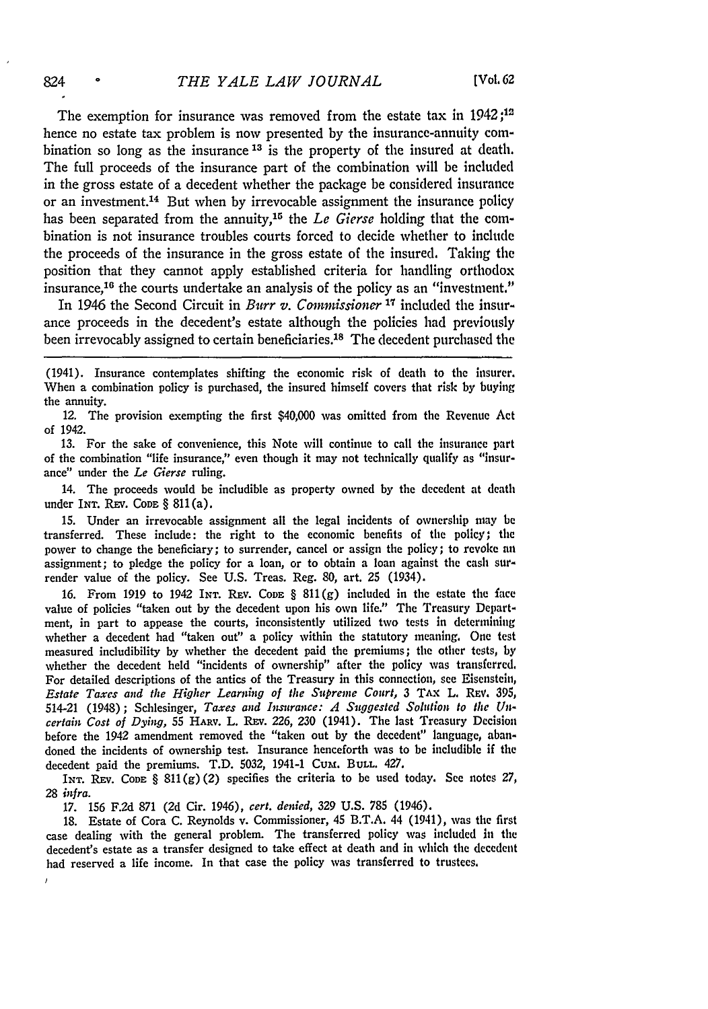The exemption for insurance was removed from the estate tax in 1942 *;12* hence no estate tax problem is now presented by the insurance-annuity combination so long as the insurance **13** is the property of the insured at death. The full proceeds of the insurance part of the combination will be included in the gross estate of a decedent whether the package be considered insurance or an investment.14 But when by irrevocable assignment the insurance policy has been separated from the annuity,<sup>15</sup> the *Le Gierse* holding that the combination is not insurance troubles courts forced to decide whether to include the proceeds of the insurance in the gross estate of the insured. Taking the position that they cannot apply established criteria for handling orthodox insurance,<sup>16</sup> the courts undertake an analysis of the policy as an "investment."

In 1946 the Second Circuit in *Burr v. Commissioner* **17** included the insurance proceeds in the decedent's estate although the policies had previously been irrevocably assigned to certain beneficiaries.<sup>18</sup> The decedent purchased the

(1941). Insurance contemplates shifting the economic risk of death to the insurer. When a combination policy is purchased, the insured himself covers that risk by buying the annuity.

12. The provision exempting the first \$40,000 was omitted from the Revenue Act of 1942.

13. For the sake of convenience, this Note will continue to call the insurance part of the combination "life insurance," even though it may not technically qualify as "insurance" under the *Le* Gierse ruling.

14. The proceeds would be includible as property owned by the decedent at death under IxT. REv. **CODE** § 811(a).

15. Under an irrevocable assignment all the legal incidents of ownership may be transferred. These include: the right to the economic benefits of the policy; the power to change the beneficiary; to surrender, cancel or assign the policy; to revoke nn assignment; to pledge the policy for a loan, or to obtain a loan against the cash surrender value of the policy. See U.S. Treas. Reg. 80, art. 25 (1934).

16. From 1919 to 1942 INT. REv. **CODE** § 811(g) included in the estate the face value of policies "taken out by the decedent upon his own life." The Treasury Department, in part to appease the courts, inconsistently utilized two tests in determining whether a decedent had "taken out" a policy within the statutory meaning. One test measured includibility by whether the decedent paid the premiums; the other tests, by whether the decedent held "incidents of ownership" after the policy was transferred. For detailed descriptions of the antics of the Treasury in this connection, see Eisenstein, *Estate Taxes and the Higher Learning of the Supreme Court,* **3 TAx** L. REV. 395, 514-21 (1948); Schlesinger, *Taxes and Instrance: A Suggested Solution to the Uncertain Cost of Dying,* **55** HARv. L. REv. 226, **230** (1941). The last Treasury Decision before the 1942 amendment removed the "taken out by the decedent" language, abandoned the incidents of ownership test. Insurance henceforth was to be includible if the decedent paid the premiums. T.D. 5032, 1941-1 Cum. **BULL.** 427.

IxT. REv. **CoDE** § 811(g)(2) specifies the criteria to be used today. See notes 27, *28 infra.*

17. 156 F.2d 871 (2d Cir. 1946), *cert. denied,* 329 U.S. 785 (1946).

18. Estate of Cora C. Reynolds v. Commissioner, 45 B.T.A. 44 (1941), was the first case dealing with the general problem. The transferred policy was included in the decedent's estate as a transfer designed to take effect at death and in which the decedent had reserved a life income. In that case the policy was transferred to trustees.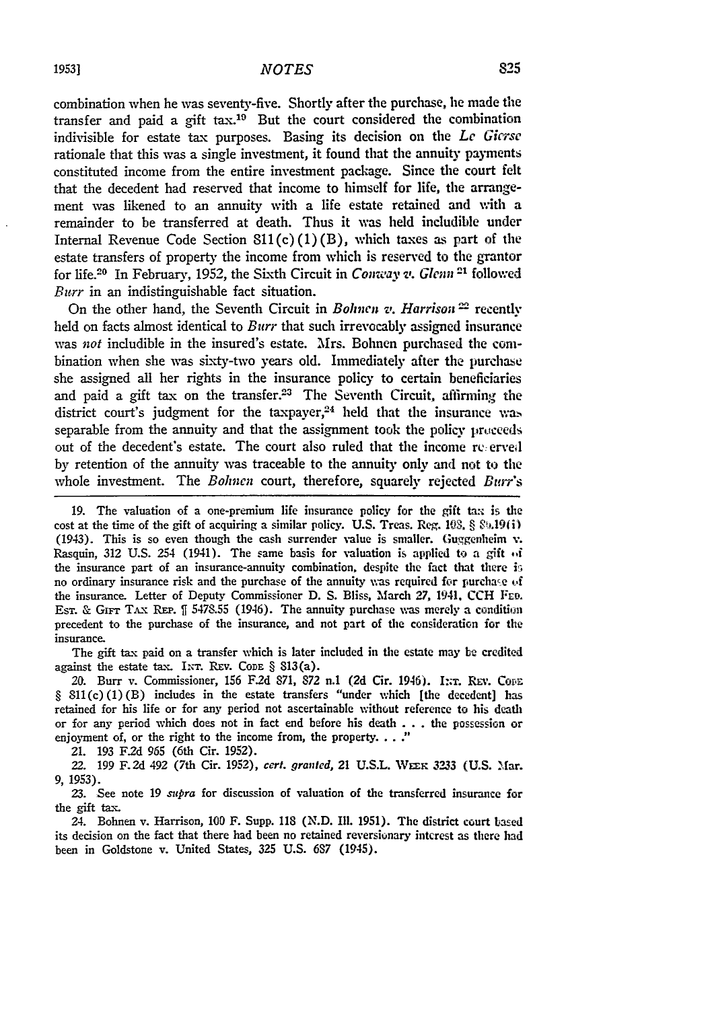combination when he was seventy-five. Shortly after the purchase, he made the transfer and paid a gift tax.19 But the court considered the combination indivisible for estate tax purposes. Basing its decision on the *Le Gicrse* rationale that this was a single investment, it found that the annuity payments constituted income from the entire investment package. Since the court felt that the decedent had reserved that income to himself for life, the arrangement was likened to an annuity with a life estate retained and with a remainder to be transferred at death. Thus it was held includible under Internal Revenue Code Section  $SL(2)(1)(B)$ , which taxes as part of the estate transfers of property the income from which is reserved to the grantor for life.<sup>20</sup> In February, 1952, the Sixth Circuit in *Conway v. Glenn*<sup>21</sup> followed *Burr* in an indistinguishable fact situation.

On the other hand, the Seventh Circuit in *Bohnen v. Harrison*<sup>22</sup> recently held on facts almost identical to *Burr* that such irrevocably assigned insurance was *not* includible in the insured's estate. Mrs. Bolnen purchased the combination when she was sixty-two years old. Immediately after the purchase she assigned all her rights in the insurance policy to certain beneficiaries and paid a gift tax on the transfer.<sup>23</sup> The Seventh Circuit, affirming the district court's judgment for the taxpayer, $24$  held that the insurance was separable from the annuity and that the assignment took the policy proceeds out of the decedent's estate. The court also ruled that the income *re:* **erved** by retention of the annuity was traceable to the annuity only and not to the whole investment. The *Bohnen* court, therefore, squarely rejected *Burrs*

**19.** The valuation of a one-premium life insurance policy for the gift tax is the cost at the time of the gift of acquiring a similar policy. U.S. Treas. Reg.  $103$ ,  $\S$   $\S_9.19(1)$ (1943). This is so even though the cash surrender value is smaller. Guggenheim v. Rasquin, 312 U.S. 254 (1941). The same basis for valuation is applied to a gift of the insurance part of an insurance-annuity combination, despite the fact that there is no ordinary insurance risk and the purchase of the annuity was required for purchase **of** the insurance. Letter of Deputy Commissioner **D. S.** Bliss, March **27,** 1941. **CCH** ERo. Est. & GIFT TAX REP.  $\parallel$  5478.55 (1946). The annuity purchase was merely a condition precedent to the purchase of the insurance, and not part of the consideration for the insurance.

The gift tax paid on a transfer which is later included in the estate may **be** credited against the estate tax. INT. REV. CODE § 813(a).

20. Burr v. Commissioner, 156 F.2d 871, 872 n.1 (2d Cir. 1946). I:: T. REV. COFE § 811(c)(1)(B) includes in the estate transfers "under which [the decedent] has retained for his life or for any period not ascertainable without reference to his death or for any period which does not in fact end before his death **. . .** the possession or enjoyment of, or the right to the income from, the property. **. .**

21. **193 F2d** 965 (6th Cir. **1952).**

*22.* 199 **F.2d** 492 (7th Cir. **1952),** *cert. granted,* 21 **U.S.L.** WEzn **3233 (U.S.** Mar. **9,** 1953).

23. See note 19 *supra* for discussion of valuation of the transferred insurance for the gift tax.

24. Bohnen v. Harrison, **100** F. Supp. 118 (N.D. Ill. **1951).** The district court based its decision on the fact that there had been no retained reversionary intcrest as there had been in Goldstone v. United States, 325 **U.S. 687** (1945).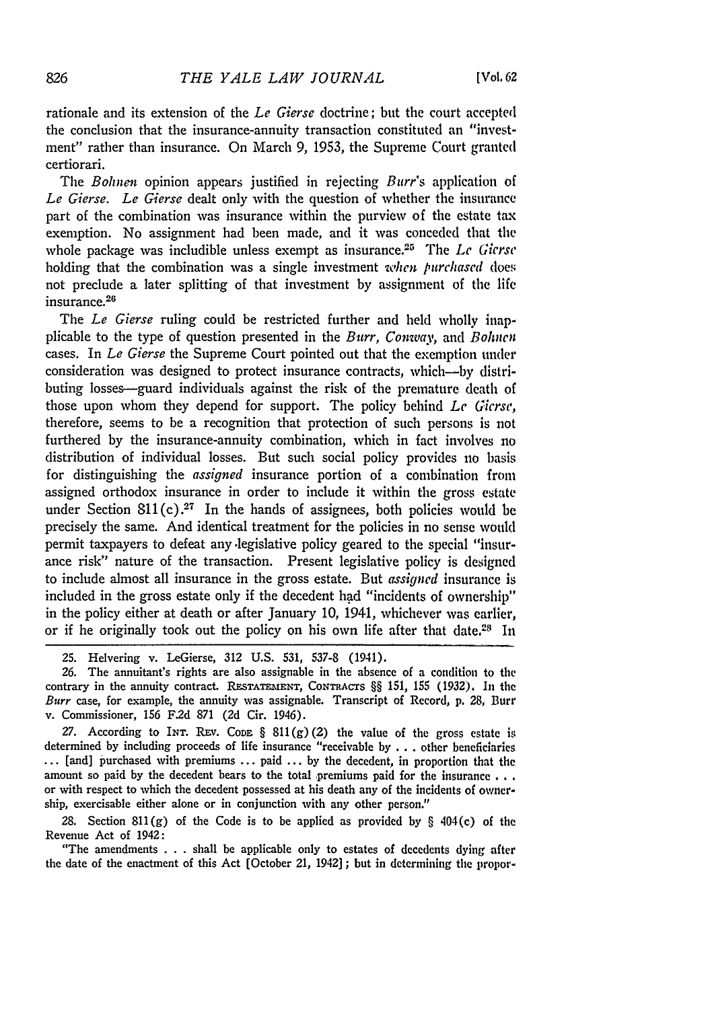rationale and its extension of the *Le Gierse* doctrine; but the court accepted the conclusion that the insurance-annuity transaction constituted an "investment" rather than insurance. On March 9, 1953, the Supreme Court granted certiorari.

The *Bohnen* opinion appears justified in rejecting *Burr's* application of *Le Gierse. Le Gierse* dealt only with the question of whether the insurance part of the combination was insurance within the purview of the estate tax exemption. No assignment had been made, and it was conceded that the whole package was includible unless exempt as insurance.25 The *Le Gierse* holding that the combination was a single investment *when purchased* does not preclude a later splitting of that investment by assignment of the life insurance.<sup>26</sup>

The *Le Gierse* ruling could be restricted further and held wholly inapplicable to the type of question presented in the *Burr, Comay,* and *Bohnen* cases. In *Le Gierse* the Supreme Court pointed out that the exemption under consideration was designed to protect insurance contracts, which-by distributing losses-guard individuals against the risk of the premature death of those upon whom they depend for support. The policy behind *Le Gicrse,* therefore, seems to be a recognition that protection of such persons is not furthered by the insurance-annuity combination, which in fact involves no distribution of individual losses. But such social policy provides no basis for distinguishing the *assigned* insurance portion of a combination from assigned orthodox insurance in order to include it within the gross estate under Section  $811(c).^{27}$  In the hands of assignees, both policies would be precisely the same. And identical treatment for the policies in no sense would permit taxpayers to defeat any.legislative policy geared to the special "insurance risk" nature of the transaction. Present legislative policy is designed to include almost all insurance in the gross estate. But *assigned* insurance is included in the gross estate only if the decedent had "incidents of ownership" in the policy either at death or after January 10, 1941, whichever was earlier, or if he originally took out the policy on his own life after that date.<sup>28</sup> In

**26.** The annuitant's rights are also assignable in the absence of a condition to the contrary in the annuity contract. RESTATEMENT, CONTRACTS §§ 151, 155 (1932). In the Burr case, for example, the annuity was assignable. Transcript of Record, **p.** 28, Burr v. Commissioner, 156 **F.2d** 871 (2d Cir. 1946).

27. According to INT. REV. CoDE  $\S 811(g)(2)$  the value of the gross estate is determined **by** including proceeds of life insurance "receivable **by** . . other beneficiaries **...** [and] purchased with premiums **...** paid **... by** the decedent, in proportion that the amount so paid **by** the decedent bears to the total premiums paid for the insurance **. . .** or with respect to which the decedent possessed at his death any of the incidents of ownership, exercisable either alone or in conjunction with any other person."

28. Section 811(g) of the Code is to be applied as provided **by** § 404(c) of the Revenue Act of 1942:

"The amendments . . . shall be applicable only to estates of decedents dying after the date of the enactment of this Act [October 21, 1942] ; but in determining the propor-

<sup>25.</sup> Helvering v. LeGierse, 312 U.S. 531, 537-8 (1941).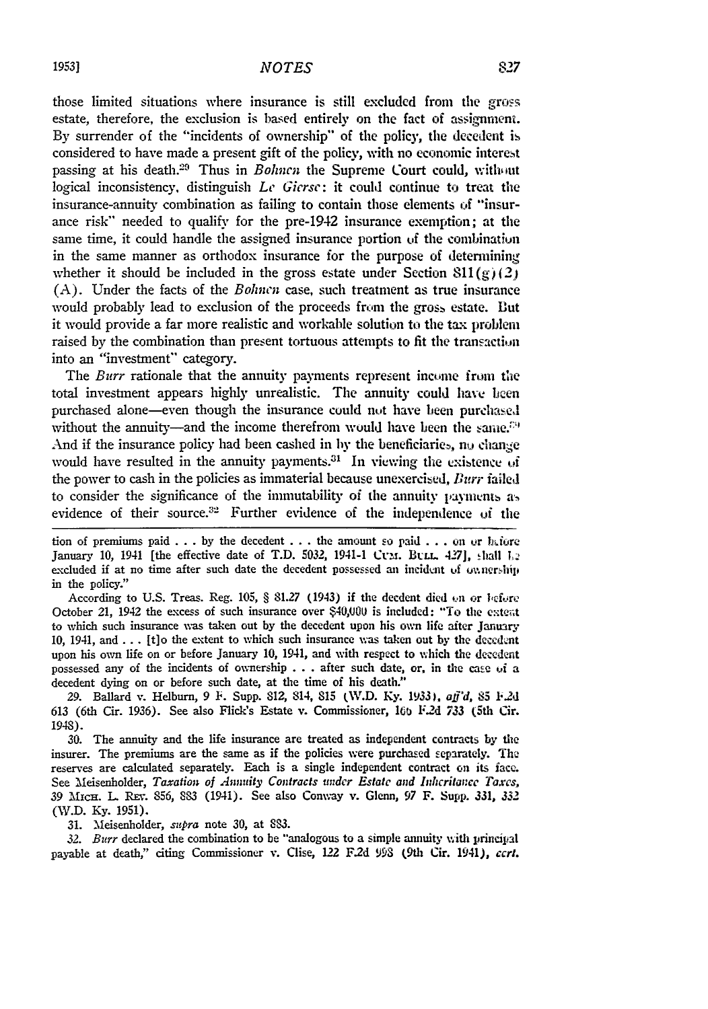those limited situations where insurance is still excluded from the gross estate, therefore, the exclusion is based entirely on the fact of assignmeni. **By** surrender of the "incidents of ownership" of the policy, the decedent is considered to have made a present gift of the policy, with no economic interest passing at his death.<sup>29</sup> Thus in *Bohncn* the Supreme Court could, without logical inconsistency, distinguish **Lc** *Giersc:* it could continue to treat the insurance-annuity combination as failing to contain those elements **of** "insurance risk" needed to qualify for the pre-1942 insurance exemption; at the same time, it could handle the assigned insurance portion of the combinatiun in the same manner as orthodox insurance for the purpose of determining whether it should be included in the gross estate under Section  $811(g)(2)$ **(A).** Under the facts of the *Bohnen* case, such treatment as true insurance would probably lead to exclusion of the proceeds from the gross estate. But it would provide a far more realistic and workable solution to the tax problem raised by the combination than present tortuous attempts to fit the transaction into an "investment" category.

The *Burr* rationale that the annuity payments represent income from **the** total investment appears **higly** unrealistic. The annuity could have **hen** purchased alone-even though the insurance could not have been purchasel without the annuity-and the income therefrom would have been the same. $^{29}$ And if the insurance policy had been cashed in by the beneficiaries, nu change would have resulted in the annuity payments.<sup>31</sup> In viewing the existence of the power to cash in the policies as immaterial because unexercised, *Burr* failed to consider the significance of the immutability of the annuity payments as evidence of their source.32 Further evidence of the independence of the

 $\mathbf{t}$  tion of premiums paid  $\mathbf{t}$ ...  $\mathbf{b}$  the decedent  $\mathbf{t}$ ... the amount so paid  $\mathbf{t}$ ... on or  $\mathbf{b}$  afore January 10, 1941 [the effective date of T.D. 5032, 1941-1 Ctm. Bull. 427], shall L<sub>2</sub> excluded if at no time after such date the decedent possessed an incident of *ownership* in the policy."

According to **U.S.** Treas. Reg. **105,** § **81.27** (1943) if the decdent died cn or Ibfire October 21, 1942 the excess of such insurance over **\$4,00U** is included: "To the ente;t to which such insurance was taken out **by** the decedent upon his own life after January **10,** 1941, **and... [t]o** the extent to which such insurance wvas taken out **by** the **decednt** upon his own life on or before January **10,** 1941, and with respect to which the decedent possessed any of the incidents of ownership **.. .**after such date, or, in the case of a decedent dying on or before such date, at the time of his death."

**29.** Ballard v. Helburn, 9 P'. Supp. 812, 814, **815** (W.D. **Ky. 1933).** *aff'd,* **85 1'.2d 613** (6th Cir. **1936).** See also Flick's Estate v. Commissioner, 16t **F.2d 733** (5th Cir. 1948).

**30.** The annuity and the life insurance are treated as independent contracts **by** the insurer. The premiums are the same as if the policies were purchased separately. The reserves are calculated separately. Each is a single independent contract on its face See Meisenholder, *Taxation of Annity Contracts under Estate and Indicritance Taxes,* <sup>39</sup>AicH. L R.v. **856, 883** (1941). See also Conway v. Glenn, 97 F. Supp. **331,** *<sup>332</sup>* (W.D. **Ky.** 1951).

31. Meisenholder, *szpra* note 30, at **8.**

*32. Burr* declared the combination to be "analogous to a simple annuity with principal payable at death," citing Commissioner v. Clise, **122** F.2d **998** (9th Cir. 1941), *ccrl.*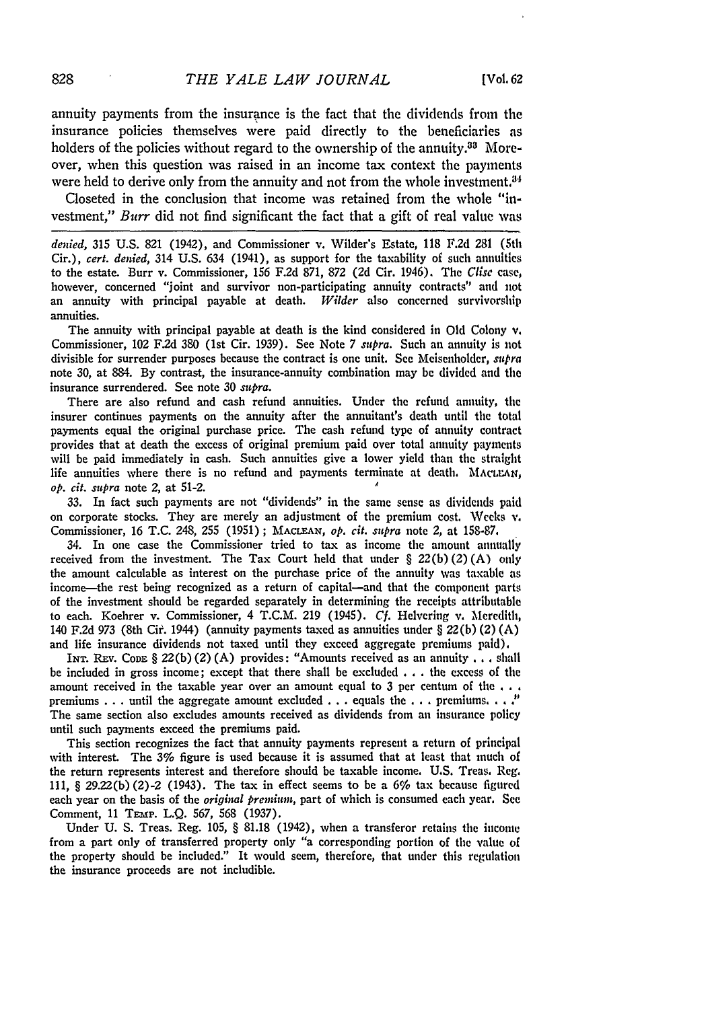annuity payments from the insurance is the fact that the dividends from the insurance policies themselves were paid directly to the beneficiaries as holders of the policies without regard to the ownership of the annuity.<sup>33</sup> Moreover, when this question was raised in an income tax context the payments were held to derive only from the annuity and not from the whole investment.<sup>34</sup>

Closeted in the conclusion that income was retained from the whole "investment," *Burr* did not find significant the fact that a gift of real value was

*denied,* 315 U.S. 821 (1942), and Commissioner v. Wilder's Estate, 118 F.2d 281 (5th Cir.), *cert. denied,* 314 U.S. 634 (1941), as support for the taxability of such annuities to the estate. Burr v. Commissioner, 156 F.2d 871, 872 (2d Cir. 1946). The *Clise* case, however, concerned "joint and survivor non-participating annuity contracts" and not an annuity with principal payable at death. *Wilder* also concerned survivorship annuities.

The annuity with principal payable at death is the kind considered in **Old** Colony v. Commissioner, 102 F.2d **380** (1st Cir. 1939). See Note 7 *supra.* Such an annuity is not divisible for surrender purposes because the contract is one unit. See Meisenholder, *supra* note **30,** at 884. By contrast, the insurance-annuity combination may be divided and the insurance surrendered. See note **30** supra.

There are also refund and cash refund annuities. Under the refund annuity, the insurer continues payments on the annuity after the annuitant's death until the total payments equal the original purchase price. The cash refund type of annuity contract provides that at death the excess of original premium paid over total annuity payments will be paid immediately in cash. Such annuities give a lower yield than the straight life annuities where there is no refund and payments terminate at death. MACLEAN, *op. cit. supra* note 2, at 51-2. **<sup>A</sup>**

**33.** In fact such payments are not "dividends" in the same sense as dividends paid on corporate stocks. They are merely an adjustment of the premium cost. **Weeks** v. Commissioner, 16 T.C. 248, 255 (1951) **; MACLEAN,** *op. cit. supra* note 2, at **158-87.**

34. In one case the Commissioner tried to tax as income the amount annually received from the investment. The Tax Court held that under § **22(b)** (2) **(A) only** the amount calculable as interest on the purchase price of the annuity was taxable as income-the rest being recognized as a return of capital-and that the component parts of the investment should be regarded separately in determining the receipts attributable to each. Koehrer v. Commissioner, 4 T.C.M. **219** (1945). *Cf.* Helvering v. Meredith, 140 **F.2d 973** (8th Cir. 1944) (annuity payments taxed as annuities under § **22(b)** (2) **(A)** and life insurance dividends not taxed until they exceed aggregate premiums paid).

**INT.** REv. **CODE** § **22(b)** (2) (A) provides: "Amounts received as an annuity **...** shall be included in gross income; except that there shall be excluded **.**.**.**the excess of the amount received in the taxable year over an amount equal to **3** per centum of the **...** premiums **...** until the aggregate amount excluded **...** equals the **. . .** premiums **... )** The same section also excludes amounts received as dividends from an insurance policy until such payments exceed the premiums paid.

This section recognizes the fact that annuity payments represent a return of principal with interest. The 3% figure is used because it is assumed that at least that much of the return represents interest and therefore should be taxable income. U.S. Treas. Reg. 111, § **29.22(b)** (2)-2 (1943). The tax in effect seems to be a 6% tax because figured each year on the basis of the *original premium,* part of which is consumed each year. See Comment, 11 TEMP. L.Q. 567, 568 (1937).

Under U. S. Treas. Reg. **105,** § 81.18 (1942), when a transferor retains the income from a part only of transferred property only "a corresponding portion of the value of the property should be included." It would seem, therefore, that under this regulation the insurance proceeds are not includible.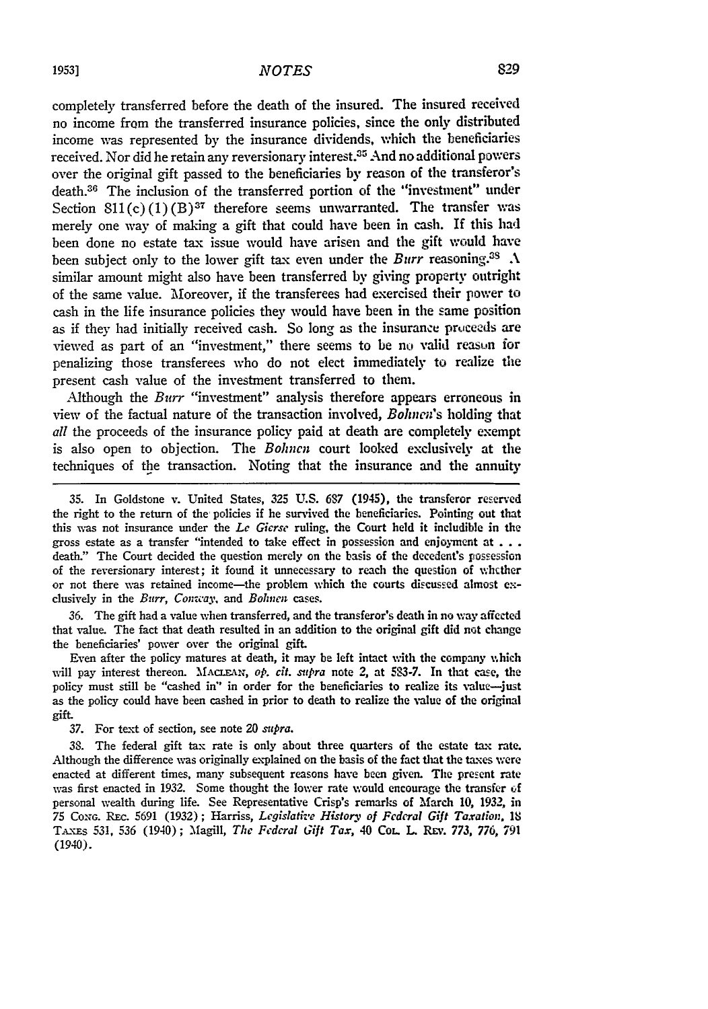completely transferred before the death of the insured. The insured received no income from the transferred insurance policies, since the only distributed income was represented by the insurance dividends, which the beneficiaries received. Nor did he retain any reversionary interest.35 And no additional powers over the original gift passed to the beneficiaries by reason of the transferor's death.36 The inclusion of the transferred portion of the "investment" under Section  $811(c)(1)(B)^{37}$  therefore seems unwarranted. The transfer was merely one way of making a gift that could have been in cash. If this had been done no estate tax issue would have arisen and the gift would have been subject only to the lower gift tax even under the *Burr* reasoning.<sup>38</sup>  $\Lambda$ similar amount might also have been transferred by giving property outright of the same value. Moreover, if the transferees had exercised their power to cash in the life insurance policies they would have been in the same position as if they had initially received cash. So long as the insurance proceeds are viewed as part of an "investment," there seems to be no valid reasun for penalizing those transferees who do not elect immediately to realize the present cash value of the investment transferred to them.

Although the *Burr* "investment" analysis therefore appears erroneous in view of the factual nature of the transaction involved, *Bohnen's* holding that *all* the proceeds of the insurance policy paid at death are completely exempt is also open to objection. The *Bohncn* court looked exclusively at the techniques of the transaction. Noting that the insurance and the annuity

**36.** The gift had a value when transferred, and the transferor's death in no way affected that value. The fact that death resulted in an addition to the original gift did not change the beneficiaries' power over the original gift.

Even after the policy matures at death, it may be left intact with the company %,hich will pay interest thereon. **MACLEAIN,** *op. cit. supra* note **2,** at **503-7.** In that case, the policy must still be "cashed **in" in** order for the beneficiaries to realize its **malue--just** as the policy could have been cashed in prior to death to realize the value of the original gift.

**37.** For text of section, see note 20 *supra.*

**38.** The federal gift **tax** rate is only about three quarters of the estate tax rate. Although the difference was originally explained on the basis of the fact that the taxes were enacted at different times, many subsequent reasons have been given. The present rate was first enacted in **1932.** Some thought the lower rate would encourage the transfer of personal wealth during life. See Representative Crisp's remarks of March **10, 1932,** in **75** Cox.. REc. 5691 **(1932);** Harriss, *Legislative History of Fcderal Gift Taxation. IS* **T-s 531, 536** (1940); Magill, *The Federal Gift Tax,* 40 CoL L Rw,. **773, 776, 791** (1940).

**<sup>35.</sup>** In Goldstone v. United States, **325 U.S.** 687 (1945), the transferor reserved the right to the return of the policies if he survived the beneficiaries. Pointing out that this was not insurance under the *Le Gicrse* ruling, the Court held it includible in the gross estate as a transfer "intended to take effect in possession and enjoyment at **. ..** death." The Court decided the question merely on the basis of the decedent's possession of the reversionary interest; it found it unnecessary to reach the question of whcther or not there was retained income-the problem which the courts discussed almost **e.** clusively in the *Burr, Conway,* and *Bolnen* cases.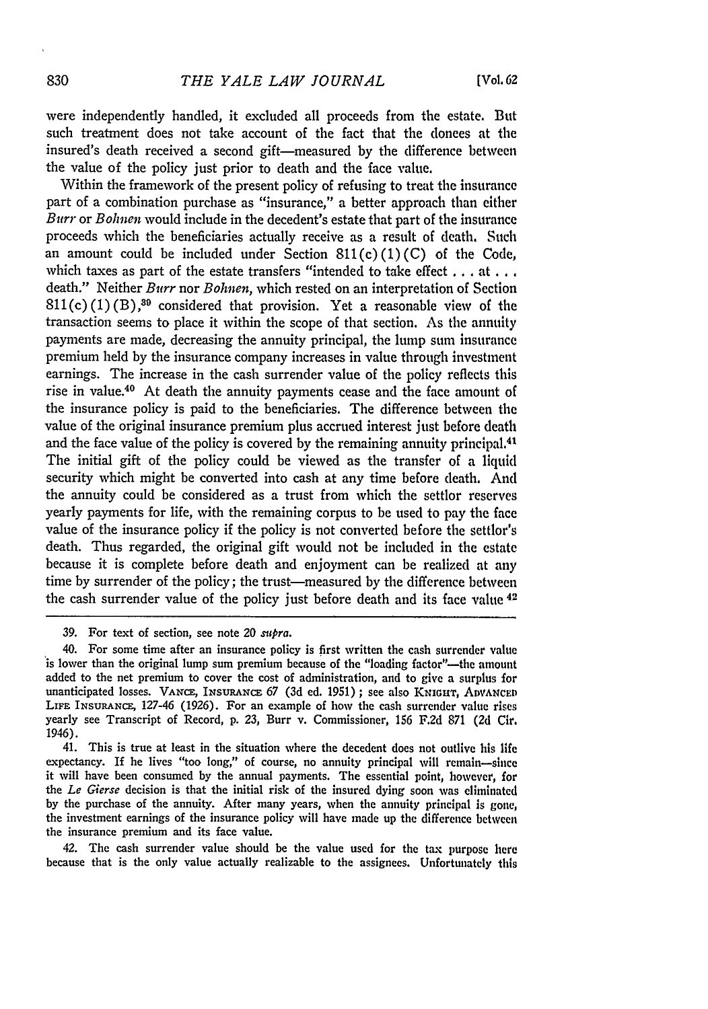were independently handled, it excluded all proceeds from the estate. But such treatment does not take account of the fact that the donees at the insured's death received a second gift-measured by the difference between the value of the policy just prior to death and the face value.

Within the framework of the present policy of refusing to treat the insurance part of a combination purchase as "insurance," a better approach than either *Burr* or *Bohnen* would include in the decedent's estate that part of the insurance proceeds which the beneficiaries actually receive as a result of death. Such an amount could be included under Section  $811(c)(1)(C)$  of the Code, which taxes as part of the estate transfers "intended to take effect .. **. at...** death." Neither *Burr* nor *Bohnen,* which rested on an interpretation of Section  $811(c) (1) (B)$ ,<sup>39</sup> considered that provision. Yet a reasonable view of the transaction seems to place it within the scope of that section. As the annuity payments are made, decreasing the annuity principal, the lump sum insurance premium held by the insurance company increases in value through investment earnings. The increase in the cash surrender value of the policy reflects this rise in value.40 At death the annuity payments cease and the face amount of the insurance policy is paid to the beneficiaries. The difference between the value of the original insurance premium plus accrued interest just before death and the face value of the policy is covered by the remaining annuity principal.<sup>41</sup> The initial gift of the policy could be viewed as the transfer of a liquid security which might be converted into cash at any time before death. And the annuity could be considered as a trust from which the settlor reserves yearly payments for life, with the remaining corpus to be used to pay the face value of the insurance policy if the policy is not converted before the settlor's death. Thus regarded, the original gift would not be included in the estate because it is complete before death and enjoyment can be realized at **any** time by surrender of the policy; the trust-measured by the difference between the cash surrender value of the policy just before death and its face value 42

41. This is true at least in the situation where the decedent does not outlive his life expectancy. If he lives "too long," of course, no annuity principal will remain-since it will have been consumed by the annual payments. The essential point, however, for the *Le Gierse* decision is that the initial risk of the insured dying soon was eliminated by the purchase of the annuity. After many years, when the annuity principal is gone, the investment earnings of the insurance policy will have made up the difference between the insurance premium and its face value.

42. The cash surrender value should be the value used for the tax purpose here because that is the only value actually realizable to the assignees. Unfortunately this

<sup>39.</sup> For text of section, see note 20 *spra.*

<sup>40.</sup> For some time after an insurance policy is first written the cash surrender value is lower than the original lump sum premium because of the "loading factor"--the amount added to the net premium to cover the cost of administration, and to give a surplus for unanticipated losses. VANCE, **INsuRAxcE** 67 (3d ed. 1951); see also **KNIGHT, ADVANCED** LIFE INSURANCE, 127-46 (1926). For an example of how the cash surrender value rises yearly see Transcript of Record, **p.** 23, Burr v. Commissioner, 156 F.2d 871 (2d Cir. 1946).